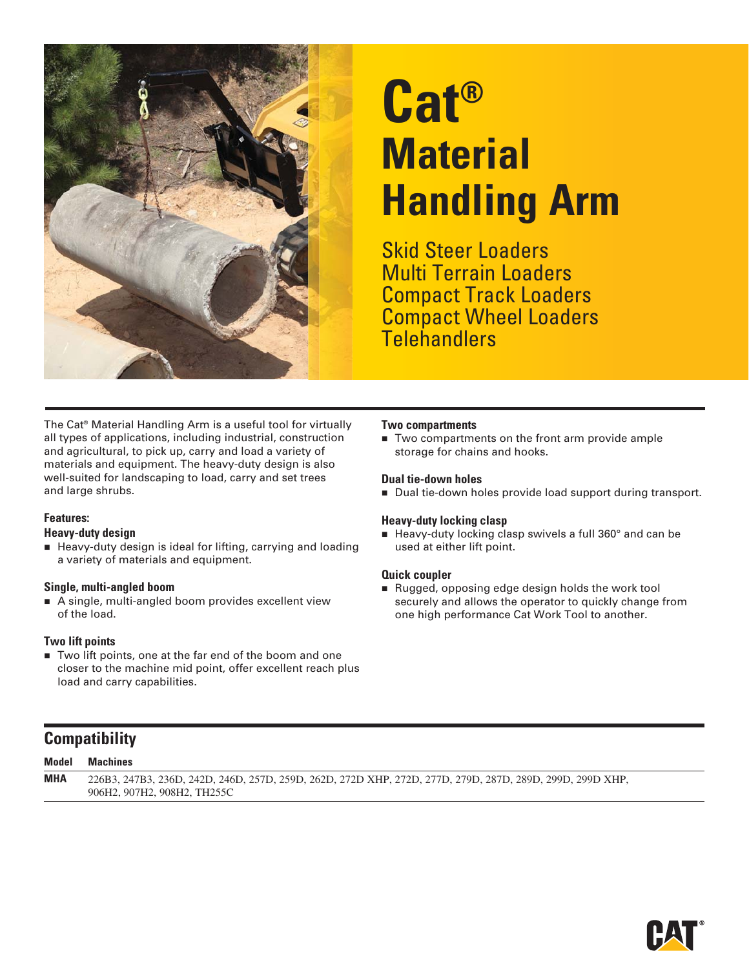

# **Cat® Material Handling Arm**

Skid Steer Loaders Multi Terrain Loaders Compact Track Loaders Compact Wheel Loaders **Telehandlers** 

The Cat® Material Handling Arm is a useful tool for virtually all types of applications, including industrial, construction and agricultural, to pick up, carry and load a variety of materials and equipment. The heavy-duty design is also well-suited for landscaping to load, carry and set trees and large shrubs.

#### **Features:**

#### **Heavy-duty design**

■ Heavy-duty design is ideal for lifting, carrying and loading a variety of materials and equipment.

#### **Single, multi-angled boom**

A single, multi-angled boom provides excellent view of the load.

#### **Two lift points**

■ Two lift points, one at the far end of the boom and one closer to the machine mid point, offer excellent reach plus load and carry capabilities.

#### **Two compartments**

■ Two compartments on the front arm provide ample storage for chains and hooks.

#### **Dual tie-down holes**

Dual tie-down holes provide load support during transport.

#### **Heavy-duty locking clasp**

■ Heavy-duty locking clasp swivels a full 360° and can be used at either lift point.

#### **Quick coupler**

Rugged, opposing edge design holds the work tool securely and allows the operator to quickly change from one high performance Cat Work Tool to another.

### **Compatibility**

| <b>Model</b> | Machines                                                                                                  |
|--------------|-----------------------------------------------------------------------------------------------------------|
| <b>MHA</b>   | 226B3, 247B3, 236D, 242D, 246D, 257D, 259D, 262D, 272D XHP, 272D, 277D, 279D, 287D, 289D, 299D, 299D XHP, |
|              | 906H2, 907H2, 908H2, TH255C                                                                               |